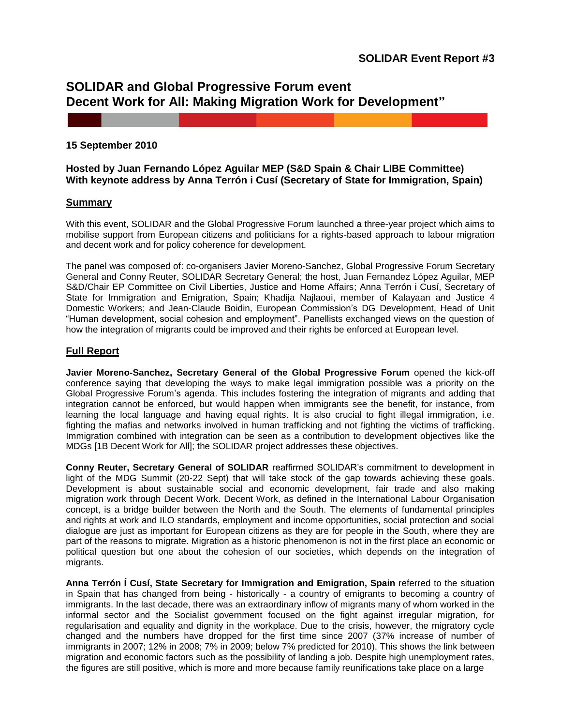# **SOLIDAR and Global Progressive Forum event Decent Work for All: Making Migration Work for Development"**

## **15 September 2010**

# **Hosted by Juan Fernando López Aguilar MEP (S&D Spain & Chair LIBE Committee) With keynote address by Anna Terrón i Cusí (Secretary of State for Immigration, Spain)**

## **Summary**

With this event, SOLIDAR and the Global Progressive Forum launched a three-year project which aims to mobilise support from European citizens and politicians for a rights-based approach to labour migration and decent work and for policy coherence for development.

The panel was composed of: co-organisers Javier Moreno-Sanchez, Global Progressive Forum Secretary General and Conny Reuter, SOLIDAR Secretary General; the host, Juan Fernandez López Aguilar, MEP S&D/Chair EP Committee on Civil Liberties, Justice and Home Affairs; Anna Terrón i Cusí, Secretary of State for Immigration and Emigration, Spain; Khadija Najlaoui, member of Kalayaan and Justice 4 Domestic Workers; and Jean-Claude Boidin, European Commission's DG Development, Head of Unit "Human development, social cohesion and employment". Panellists exchanged views on the question of how the integration of migrants could be improved and their rights be enforced at European level.

# **Full Report**

**Javier Moreno-Sanchez, Secretary General of the Global Progressive Forum** opened the kick-off conference saying that developing the ways to make legal immigration possible was a priority on the Global Progressive Forum"s agenda. This includes fostering the integration of migrants and adding that integration cannot be enforced, but would happen when immigrants see the benefit, for instance, from learning the local language and having equal rights. It is also crucial to fight illegal immigration, i.e. fighting the mafias and networks involved in human trafficking and not fighting the victims of trafficking. Immigration combined with integration can be seen as a contribution to development objectives like the MDGs [1B Decent Work for All]; the SOLIDAR project addresses these objectives.

**Conny Reuter, Secretary General of SOLIDAR** reaffirmed SOLIDAR"s commitment to development in light of the MDG Summit (20-22 Sept) that will take stock of the gap towards achieving these goals. Development is about sustainable social and economic development, fair trade and also making migration work through Decent Work. Decent Work, as defined in the International Labour Organisation concept, is a bridge builder between the North and the South. The elements of fundamental principles and rights at work and ILO standards, employment and income opportunities, social protection and social dialogue are just as important for European citizens as they are for people in the South, where they are part of the reasons to migrate. Migration as a historic phenomenon is not in the first place an economic or political question but one about the cohesion of our societies, which depends on the integration of migrants.

**Anna Terrón Í Cusí, State Secretary for Immigration and Emigration, Spain** referred to the situation in Spain that has changed from being - historically - a country of emigrants to becoming a country of immigrants. In the last decade, there was an extraordinary inflow of migrants many of whom worked in the informal sector and the Socialist government focused on the fight against irregular migration, for regularisation and equality and dignity in the workplace. Due to the crisis, however, the migratory cycle changed and the numbers have dropped for the first time since 2007 (37% increase of number of immigrants in 2007; 12% in 2008; 7% in 2009; below 7% predicted for 2010). This shows the link between migration and economic factors such as the possibility of landing a job. Despite high unemployment rates, the figures are still positive, which is more and more because family reunifications take place on a large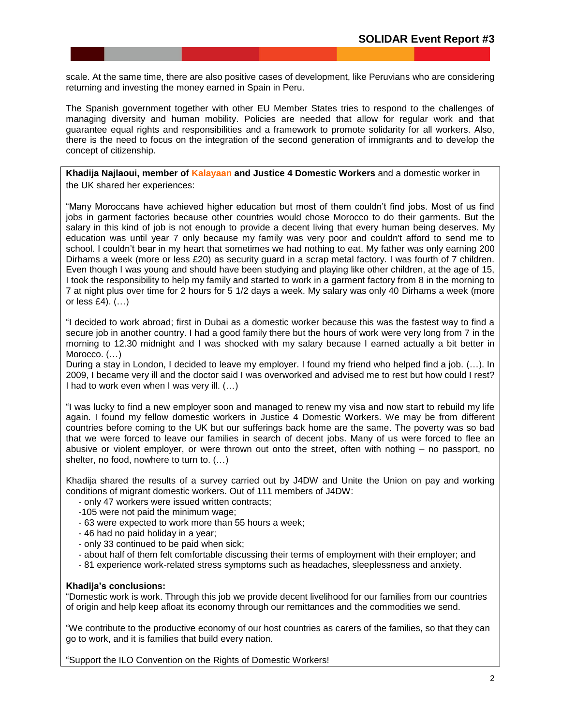scale. At the same time, there are also positive cases of development, like Peruvians who are considering returning and investing the money earned in Spain in Peru.

The Spanish government together with other EU Member States tries to respond to the challenges of managing diversity and human mobility. Policies are needed that allow for regular work and that guarantee equal rights and responsibilities and a framework to promote solidarity for all workers. Also, there is the need to focus on the integration of the second generation of immigrants and to develop the concept of citizenship.

**Khadija Najlaoui, member of [Kalayaan](http://www.kalayaan.org.uk/) and Justice 4 Domestic Workers** and a domestic worker in the UK shared her experiences:

"Many Moroccans have achieved higher education but most of them couldn"t find jobs. Most of us find jobs in garment factories because other countries would chose Morocco to do their garments. But the salary in this kind of job is not enough to provide a decent living that every human being deserves. My education was until year 7 only because my family was very poor and couldn't afford to send me to school. I couldn"t bear in my heart that sometimes we had nothing to eat. My father was only earning 200 Dirhams a week (more or less £20) as security guard in a scrap metal factory. I was fourth of 7 children. Even though I was young and should have been studying and playing like other children, at the age of 15, I took the responsibility to help my family and started to work in a garment factory from 8 in the morning to 7 at night plus over time for 2 hours for 5 1/2 days a week. My salary was only 40 Dirhams a week (more or less  $£4$ ).  $($ ... $)$ 

"I decided to work abroad; first in Dubai as a domestic worker because this was the fastest way to find a secure job in another country. I had a good family there but the hours of work were very long from 7 in the morning to 12.30 midnight and I was shocked with my salary because I earned actually a bit better in Morocco.  $(...)$ 

During a stay in London, I decided to leave my employer. I found my friend who helped find a job. (…). In 2009, I became very ill and the doctor said I was overworked and advised me to rest but how could I rest? I had to work even when I was very ill. (…)

"I was lucky to find a new employer soon and managed to renew my visa and now start to rebuild my life again. I found my fellow domestic workers in Justice 4 Domestic Workers. We may be from different countries before coming to the UK but our sufferings back home are the same. The poverty was so bad that we were forced to leave our families in search of decent jobs. Many of us were forced to flee an abusive or violent employer, or were thrown out onto the street, often with nothing – no passport, no shelter, no food, nowhere to turn to. (…)

Khadija shared the results of a survey carried out by J4DW and Unite the Union on pay and working conditions of migrant domestic workers. Out of 111 members of J4DW:

- only 47 workers were issued written contracts;
- -105 were not paid the minimum wage;
- 63 were expected to work more than 55 hours a week;
- 46 had no paid holiday in a year;
- only 33 continued to be paid when sick;
- about half of them felt comfortable discussing their terms of employment with their employer; and
- 81 experience work-related stress symptoms such as headaches, sleeplessness and anxiety.

#### **Khadija's conclusions:**

"Domestic work is work. Through this job we provide decent livelihood for our families from our countries of origin and help keep afloat its economy through our remittances and the commodities we send.

"We contribute to the productive economy of our host countries as carers of the families, so that they can go to work, and it is families that build every nation.

"Support the ILO Convention on the Rights of Domestic Workers!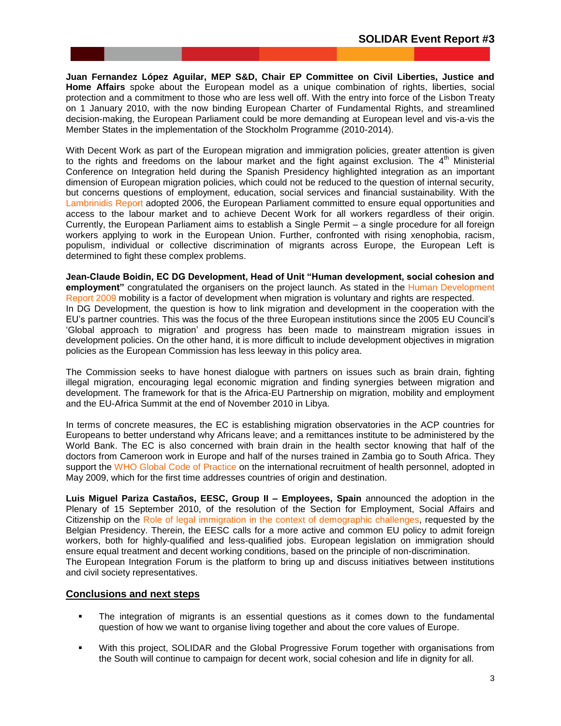**Juan Fernandez López Aguilar, MEP S&D, Chair EP Committee on Civil Liberties, Justice and Home Affairs** spoke about the European model as a unique combination of rights, liberties, social protection and a commitment to those who are less well off. With the entry into force of the Lisbon Treaty on 1 January 2010, with the now binding European Charter of Fundamental Rights, and streamlined decision-making, the European Parliament could be more demanding at European level and vis-a-vis the Member States in the implementation of the Stockholm Programme (2010-2014).

With Decent Work as part of the European migration and immigration policies, greater attention is given to the rights and freedoms on the labour market and the fight against exclusion. The  $4<sup>th</sup>$  Ministerial Conference on Integration held during the Spanish Presidency highlighted integration as an important dimension of European migration policies, which could not be reduced to the question of internal security, but concerns questions of employment, education, social services and financial sustainability. With the [Lambrinidis Report](http://www.europarl.europa.eu/sides/getDoc.do?type=TA&language=EN&reference=P6-TA-2006-0318) adopted 2006, the European Parliament committed to ensure equal opportunities and access to the labour market and to achieve Decent Work for all workers regardless of their origin. Currently, the European Parliament aims to establish a Single Permit – a single procedure for all foreign workers applying to work in the European Union. Further, confronted with rising xenophobia, racism, populism, individual or collective discrimination of migrants across Europe, the European Left is determined to fight these complex problems.

**Jean-Claude Boidin, EC DG Development, Head of Unit "Human development, social cohesion and employment"** congratulated the organisers on the project launch. As stated in the [Human Development](http://hdr.undp.org/en/media/HDR_2009_EN_Complete.pdf)  [Report 2009](http://hdr.undp.org/en/media/HDR_2009_EN_Complete.pdf) mobility is a factor of development when migration is voluntary and rights are respected. In DG Development, the question is how to link migration and development in the cooperation with the EU"s partner countries. This was the focus of the three European institutions since the 2005 EU Council"s "Global approach to migration" and progress has been made to mainstream migration issues in development policies. On the other hand, it is more difficult to include development objectives in migration policies as the European Commission has less leeway in this policy area.

The Commission seeks to have honest dialogue with partners on issues such as brain drain, fighting illegal migration, encouraging legal economic migration and finding synergies between migration and development. The framework for that is the Africa-EU Partnership on migration, mobility and employment and the EU-Africa Summit at the end of November 2010 in Libya.

In terms of concrete measures, the EC is establishing migration observatories in the ACP countries for Europeans to better understand why Africans leave; and a remittances institute to be administered by the World Bank. The EC is also concerned with brain drain in the health sector knowing that half of the doctors from Cameroon work in Europe and half of the nurses trained in Zambia go to South Africa. They support the [WHO Global Code of Practice](http://www.who.int/hrh/migration/code/WHO_global_code_of_practice_EN.pdf) on the international recruitment of health personnel, adopted in May 2009, which for the first time addresses countries of origin and destination.

**Luis Miguel Pariza Castaños, EESC, Group II – Employees, Spain** announced the adoption in the Plenary of 15 September 2010, of the resolution of the Section for Employment, Social Affairs and Citizenship on the [Role of legal immigration in the context of demographic challenges,](http://toad.eesc.europa.eu/ViewDoc.aspx?doc=S4JLwkTYk23wGLjZAu3R6mArOTzbykhdgcv%2fFBwTx9BgKzk828pIXd%2b54S6ZKuJzLyBkiCB9e7tXuNN5fWUMglnEAxuQ3t3NfFs1LeJrH3LJmNgj5UCIFy8gZIggfXu7SV0fDDeTt%2f9wNIVV7NVdxIkiWlT4y69kqkytXPPEJwSwfcqY0ctEjkYwqXrQA%2fK0gc4B8Yxl9kIy) requested by the Belgian Presidency. Therein, the EESC calls for a more active and common EU policy to admit foreign workers, both for highly-qualified and less-qualified jobs. European legislation on immigration should ensure equal treatment and decent working conditions, based on the principle of non-discrimination. The European Integration Forum is the platform to bring up and discuss initiatives between institutions and civil society representatives.

### **Conclusions and next steps**

- The integration of migrants is an essential questions as it comes down to the fundamental question of how we want to organise living together and about the core values of Europe.
- With this project, SOLIDAR and the Global Progressive Forum together with organisations from the South will continue to campaign for decent work, social cohesion and life in dignity for all.